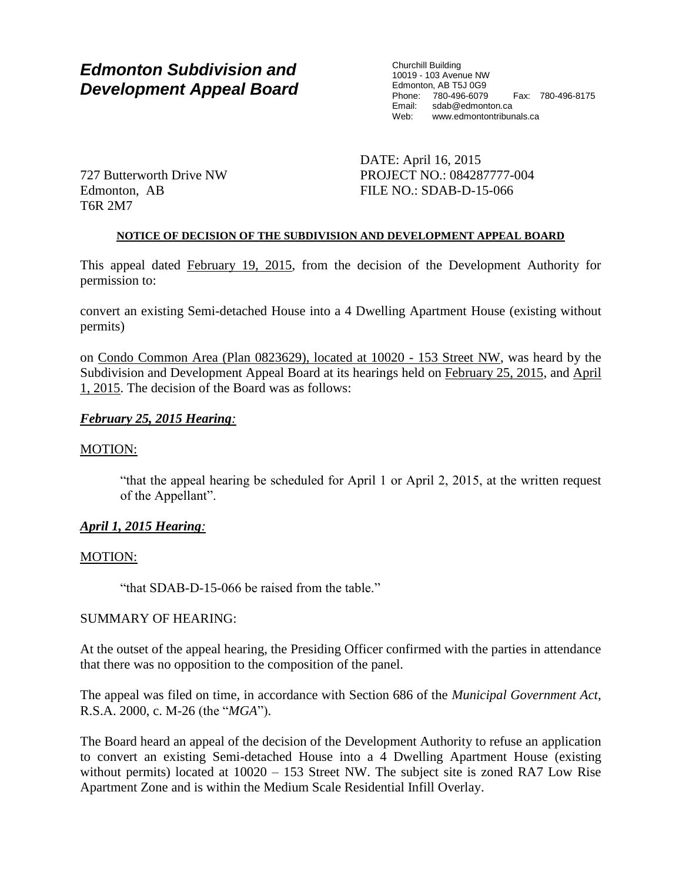# *Edmonton Subdivision and Development Appeal Board*

Churchill Building 10019 - 103 Avenue NW Edmonton, AB T5J 0G9 Phone: 780-496-6079 Fax: 780-496-8175 sdab@edmonton.ca Web: www.edmontontribunals.ca

727 Butterworth Drive NW Edmonton, AB T6R 2M7

DATE: April 16, 2015 PROJECT NO.: 084287777-004 FILE NO.: SDAB-D-15-066

### **NOTICE OF DECISION OF THE SUBDIVISION AND DEVELOPMENT APPEAL BOARD**

This appeal dated February 19, 2015, from the decision of the Development Authority for permission to:

convert an existing Semi-detached House into a 4 Dwelling Apartment House (existing without permits)

on Condo Common Area (Plan 0823629), located at 10020 - 153 Street NW, was heard by the Subdivision and Development Appeal Board at its hearings held on February 25, 2015, and April 1, 2015. The decision of the Board was as follows:

# *February 25, 2015 Hearing:*

# MOTION:

"that the appeal hearing be scheduled for April 1 or April 2, 2015, at the written request of the Appellant".

# *April 1, 2015 Hearing:*

# MOTION:

"that SDAB-D-15-066 be raised from the table."

# SUMMARY OF HEARING:

At the outset of the appeal hearing, the Presiding Officer confirmed with the parties in attendance that there was no opposition to the composition of the panel.

The appeal was filed on time, in accordance with Section 686 of the *Municipal Government Act*, R.S.A. 2000, c. M-26 (the "*MGA*").

The Board heard an appeal of the decision of the Development Authority to refuse an application to convert an existing Semi-detached House into a 4 Dwelling Apartment House (existing without permits) located at  $10020 - 153$  Street NW. The subject site is zoned RA7 Low Rise Apartment Zone and is within the Medium Scale Residential Infill Overlay.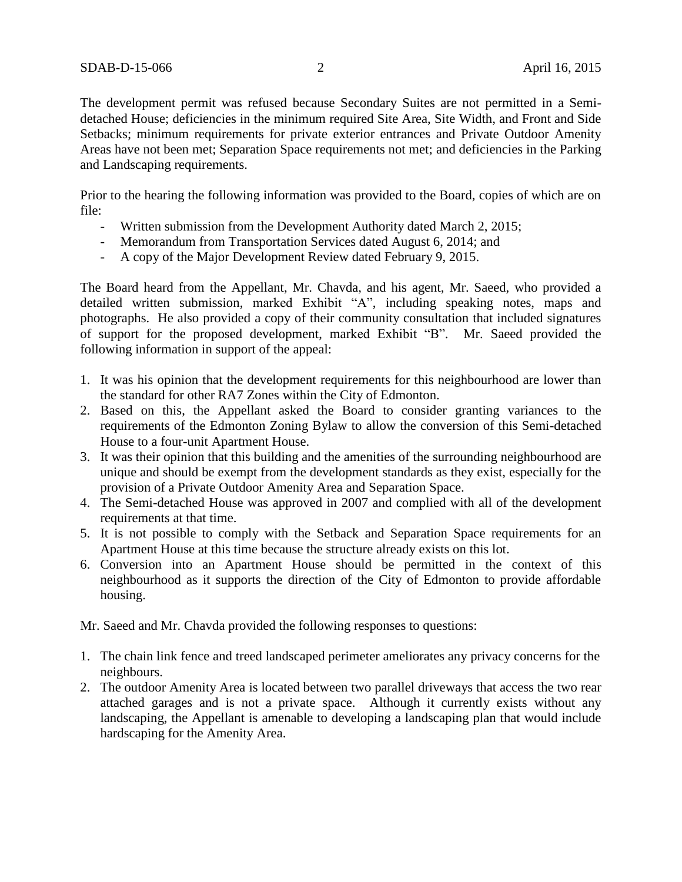The development permit was refused because Secondary Suites are not permitted in a Semidetached House; deficiencies in the minimum required Site Area, Site Width, and Front and Side Setbacks; minimum requirements for private exterior entrances and Private Outdoor Amenity Areas have not been met; Separation Space requirements not met; and deficiencies in the Parking and Landscaping requirements.

Prior to the hearing the following information was provided to the Board, copies of which are on file:

- Written submission from the Development Authority dated March 2, 2015;
- Memorandum from Transportation Services dated August 6, 2014; and
- A copy of the Major Development Review dated February 9, 2015.

The Board heard from the Appellant, Mr. Chavda, and his agent, Mr. Saeed, who provided a detailed written submission, marked Exhibit "A", including speaking notes, maps and photographs. He also provided a copy of their community consultation that included signatures of support for the proposed development, marked Exhibit "B". Mr. Saeed provided the following information in support of the appeal:

- 1. It was his opinion that the development requirements for this neighbourhood are lower than the standard for other RA7 Zones within the City of Edmonton.
- 2. Based on this, the Appellant asked the Board to consider granting variances to the requirements of the Edmonton Zoning Bylaw to allow the conversion of this Semi-detached House to a four-unit Apartment House.
- 3. It was their opinion that this building and the amenities of the surrounding neighbourhood are unique and should be exempt from the development standards as they exist, especially for the provision of a Private Outdoor Amenity Area and Separation Space.
- 4. The Semi-detached House was approved in 2007 and complied with all of the development requirements at that time.
- 5. It is not possible to comply with the Setback and Separation Space requirements for an Apartment House at this time because the structure already exists on this lot.
- 6. Conversion into an Apartment House should be permitted in the context of this neighbourhood as it supports the direction of the City of Edmonton to provide affordable housing.

Mr. Saeed and Mr. Chavda provided the following responses to questions:

- 1. The chain link fence and treed landscaped perimeter ameliorates any privacy concerns for the neighbours.
- 2. The outdoor Amenity Area is located between two parallel driveways that access the two rear attached garages and is not a private space. Although it currently exists without any landscaping, the Appellant is amenable to developing a landscaping plan that would include hardscaping for the Amenity Area.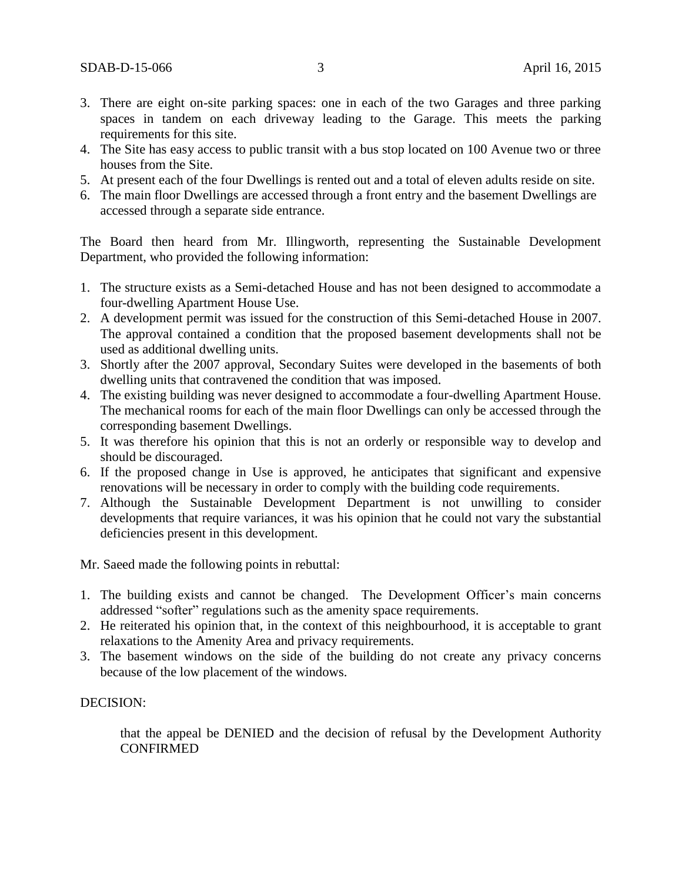- 3. There are eight on-site parking spaces: one in each of the two Garages and three parking spaces in tandem on each driveway leading to the Garage. This meets the parking requirements for this site.
- 4. The Site has easy access to public transit with a bus stop located on 100 Avenue two or three houses from the Site.
- 5. At present each of the four Dwellings is rented out and a total of eleven adults reside on site.
- 6. The main floor Dwellings are accessed through a front entry and the basement Dwellings are accessed through a separate side entrance.

The Board then heard from Mr. Illingworth, representing the Sustainable Development Department, who provided the following information:

- 1. The structure exists as a Semi-detached House and has not been designed to accommodate a four-dwelling Apartment House Use.
- 2. A development permit was issued for the construction of this Semi-detached House in 2007. The approval contained a condition that the proposed basement developments shall not be used as additional dwelling units.
- 3. Shortly after the 2007 approval, Secondary Suites were developed in the basements of both dwelling units that contravened the condition that was imposed.
- 4. The existing building was never designed to accommodate a four-dwelling Apartment House. The mechanical rooms for each of the main floor Dwellings can only be accessed through the corresponding basement Dwellings.
- 5. It was therefore his opinion that this is not an orderly or responsible way to develop and should be discouraged.
- 6. If the proposed change in Use is approved, he anticipates that significant and expensive renovations will be necessary in order to comply with the building code requirements.
- 7. Although the Sustainable Development Department is not unwilling to consider developments that require variances, it was his opinion that he could not vary the substantial deficiencies present in this development.

Mr. Saeed made the following points in rebuttal:

- 1. The building exists and cannot be changed. The Development Officer's main concerns addressed "softer" regulations such as the amenity space requirements.
- 2. He reiterated his opinion that, in the context of this neighbourhood, it is acceptable to grant relaxations to the Amenity Area and privacy requirements.
- 3. The basement windows on the side of the building do not create any privacy concerns because of the low placement of the windows.

#### DECISION:

that the appeal be DENIED and the decision of refusal by the Development Authority CONFIRMED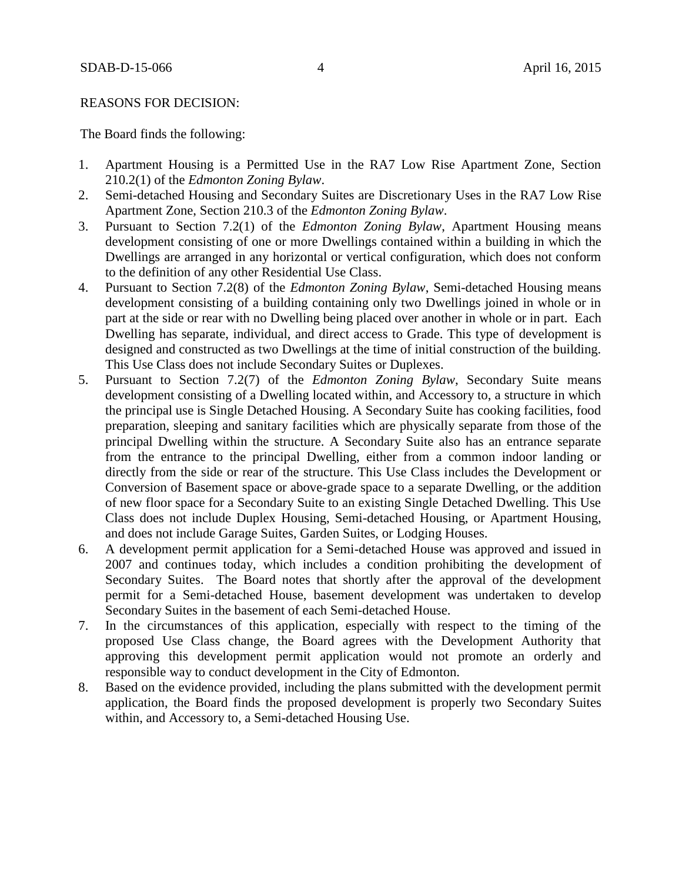#### REASONS FOR DECISION:

The Board finds the following:

- 1. Apartment Housing is a Permitted Use in the RA7 Low Rise Apartment Zone, Section 210.2(1) of the *Edmonton Zoning Bylaw*.
- 2. Semi-detached Housing and Secondary Suites are Discretionary Uses in the RA7 Low Rise Apartment Zone, Section 210.3 of the *Edmonton Zoning Bylaw*.
- 3. Pursuant to Section 7.2(1) of the *Edmonton Zoning Bylaw*, Apartment Housing means development consisting of one or more Dwellings contained within a building in which the Dwellings are arranged in any horizontal or vertical configuration, which does not conform to the definition of any other Residential Use Class.
- 4. Pursuant to Section 7.2(8) of the *Edmonton Zoning Bylaw*, Semi-detached Housing means development consisting of a building containing only two Dwellings joined in whole or in part at the side or rear with no Dwelling being placed over another in whole or in part. Each Dwelling has separate, individual, and direct access to Grade. This type of development is designed and constructed as two Dwellings at the time of initial construction of the building. This Use Class does not include Secondary Suites or Duplexes.
- 5. Pursuant to Section 7.2(7) of the *Edmonton Zoning Bylaw*, Secondary Suite means development consisting of a Dwelling located within, and Accessory to, a structure in which the principal use is Single Detached Housing. A Secondary Suite has cooking facilities, food preparation, sleeping and sanitary facilities which are physically separate from those of the principal Dwelling within the structure. A Secondary Suite also has an entrance separate from the entrance to the principal Dwelling, either from a common indoor landing or directly from the side or rear of the structure. This Use Class includes the Development or Conversion of Basement space or above-grade space to a separate Dwelling, or the addition of new floor space for a Secondary Suite to an existing Single Detached Dwelling. This Use Class does not include Duplex Housing, Semi-detached Housing, or Apartment Housing, and does not include Garage Suites, Garden Suites, or Lodging Houses.
- 6. A development permit application for a Semi-detached House was approved and issued in 2007 and continues today, which includes a condition prohibiting the development of Secondary Suites. The Board notes that shortly after the approval of the development permit for a Semi-detached House, basement development was undertaken to develop Secondary Suites in the basement of each Semi-detached House.
- 7. In the circumstances of this application, especially with respect to the timing of the proposed Use Class change, the Board agrees with the Development Authority that approving this development permit application would not promote an orderly and responsible way to conduct development in the City of Edmonton.
- 8. Based on the evidence provided, including the plans submitted with the development permit application, the Board finds the proposed development is properly two Secondary Suites within, and Accessory to, a Semi-detached Housing Use.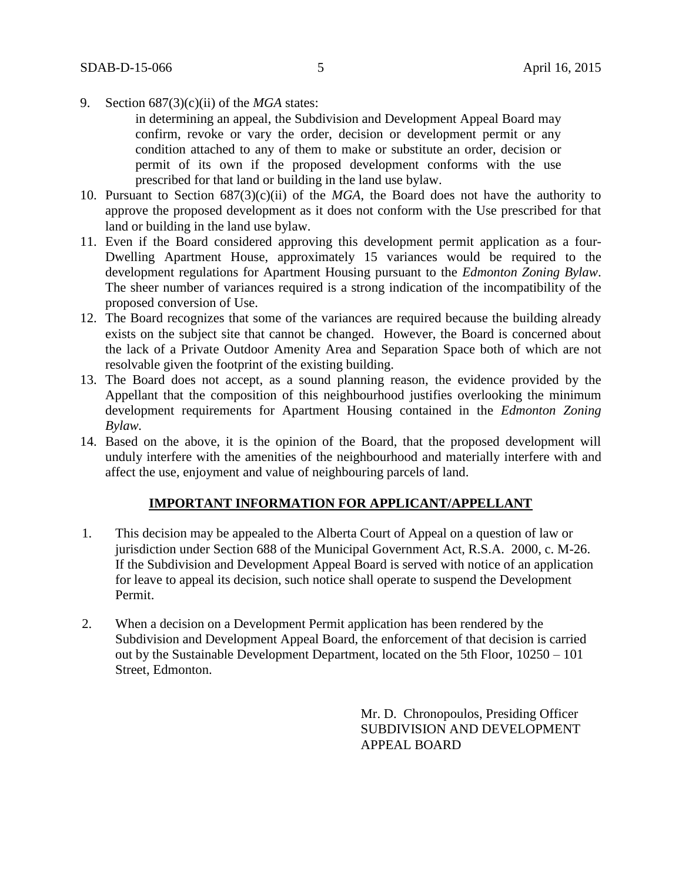9. Section 687(3)(c)(ii) of the *MGA* states:

in determining an appeal, the Subdivision and Development Appeal Board may confirm, revoke or vary the order, decision or development permit or any condition attached to any of them to make or substitute an order, decision or permit of its own if the proposed development conforms with the use prescribed for that land or building in the land use bylaw.

- 10. Pursuant to Section  $687(3)(c)(ii)$  of the *MGA*, the Board does not have the authority to approve the proposed development as it does not conform with the Use prescribed for that land or building in the land use bylaw.
- 11. Even if the Board considered approving this development permit application as a four-Dwelling Apartment House, approximately 15 variances would be required to the development regulations for Apartment Housing pursuant to the *Edmonton Zoning Bylaw*. The sheer number of variances required is a strong indication of the incompatibility of the proposed conversion of Use.
- 12. The Board recognizes that some of the variances are required because the building already exists on the subject site that cannot be changed. However, the Board is concerned about the lack of a Private Outdoor Amenity Area and Separation Space both of which are not resolvable given the footprint of the existing building.
- 13. The Board does not accept, as a sound planning reason, the evidence provided by the Appellant that the composition of this neighbourhood justifies overlooking the minimum development requirements for Apartment Housing contained in the *Edmonton Zoning Bylaw.*
- 14. Based on the above, it is the opinion of the Board, that the proposed development will unduly interfere with the amenities of the neighbourhood and materially interfere with and affect the use, enjoyment and value of neighbouring parcels of land.

#### **IMPORTANT INFORMATION FOR APPLICANT/APPELLANT**

- 1. This decision may be appealed to the Alberta Court of Appeal on a question of law or jurisdiction under Section 688 of the Municipal Government Act, R.S.A. 2000, c. M-26. If the Subdivision and Development Appeal Board is served with notice of an application for leave to appeal its decision, such notice shall operate to suspend the Development Permit.
- 2. When a decision on a Development Permit application has been rendered by the Subdivision and Development Appeal Board, the enforcement of that decision is carried out by the Sustainable Development Department, located on the 5th Floor, 10250 – 101 Street, Edmonton.

Mr. D. Chronopoulos, Presiding Officer SUBDIVISION AND DEVELOPMENT APPEAL BOARD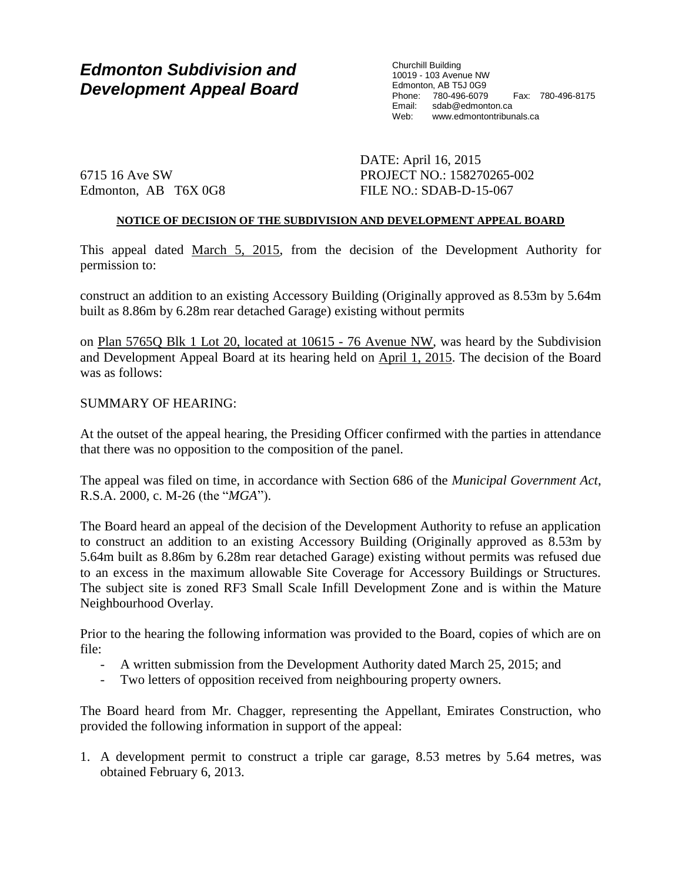# *Edmonton Subdivision and Development Appeal Board*

Churchill Building 10019 - 103 Avenue NW Edmonton, AB T5J 0G9 Phone: 780-496-6079 Fax: 780-496-8175 Email: sdab@edmonton.ca Web: www.edmontontribunals.ca

6715 16 Ave SW Edmonton, AB T6X 0G8 DATE: April 16, 2015 PROJECT NO.: 158270265-002 FILE NO.: SDAB-D-15-067

## **NOTICE OF DECISION OF THE SUBDIVISION AND DEVELOPMENT APPEAL BOARD**

This appeal dated March 5, 2015, from the decision of the Development Authority for permission to:

construct an addition to an existing Accessory Building (Originally approved as 8.53m by 5.64m built as 8.86m by 6.28m rear detached Garage) existing without permits

on Plan 5765Q Blk 1 Lot 20, located at 10615 - 76 Avenue NW, was heard by the Subdivision and Development Appeal Board at its hearing held on April 1, 2015. The decision of the Board was as follows:

### SUMMARY OF HEARING:

At the outset of the appeal hearing, the Presiding Officer confirmed with the parties in attendance that there was no opposition to the composition of the panel.

The appeal was filed on time, in accordance with Section 686 of the *Municipal Government Act*, R.S.A. 2000, c. M-26 (the "*MGA*").

The Board heard an appeal of the decision of the Development Authority to refuse an application to construct an addition to an existing Accessory Building (Originally approved as 8.53m by 5.64m built as 8.86m by 6.28m rear detached Garage) existing without permits was refused due to an excess in the maximum allowable Site Coverage for Accessory Buildings or Structures. The subject site is zoned RF3 Small Scale Infill Development Zone and is within the Mature Neighbourhood Overlay.

Prior to the hearing the following information was provided to the Board, copies of which are on file:

- A written submission from the Development Authority dated March 25, 2015; and
- Two letters of opposition received from neighbouring property owners.

The Board heard from Mr. Chagger, representing the Appellant, Emirates Construction, who provided the following information in support of the appeal:

1. A development permit to construct a triple car garage, 8.53 metres by 5.64 metres, was obtained February 6, 2013.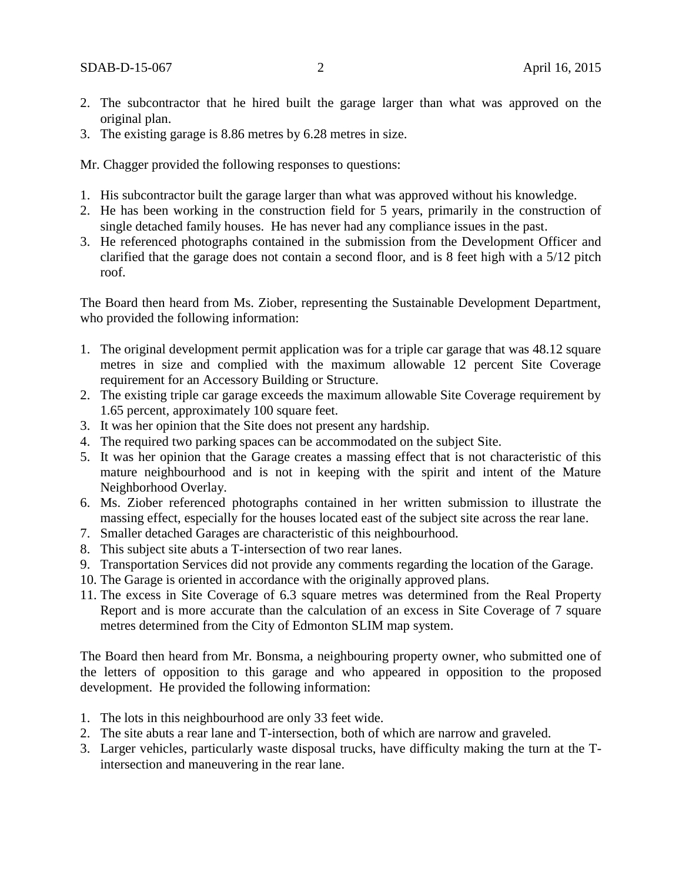- 2. The subcontractor that he hired built the garage larger than what was approved on the original plan.
- 3. The existing garage is 8.86 metres by 6.28 metres in size.

Mr. Chagger provided the following responses to questions:

- 1. His subcontractor built the garage larger than what was approved without his knowledge.
- 2. He has been working in the construction field for 5 years, primarily in the construction of single detached family houses. He has never had any compliance issues in the past.
- 3. He referenced photographs contained in the submission from the Development Officer and clarified that the garage does not contain a second floor, and is 8 feet high with a 5/12 pitch roof.

The Board then heard from Ms. Ziober, representing the Sustainable Development Department, who provided the following information:

- 1. The original development permit application was for a triple car garage that was 48.12 square metres in size and complied with the maximum allowable 12 percent Site Coverage requirement for an Accessory Building or Structure.
- 2. The existing triple car garage exceeds the maximum allowable Site Coverage requirement by 1.65 percent, approximately 100 square feet.
- 3. It was her opinion that the Site does not present any hardship.
- 4. The required two parking spaces can be accommodated on the subject Site.
- 5. It was her opinion that the Garage creates a massing effect that is not characteristic of this mature neighbourhood and is not in keeping with the spirit and intent of the Mature Neighborhood Overlay.
- 6. Ms. Ziober referenced photographs contained in her written submission to illustrate the massing effect, especially for the houses located east of the subject site across the rear lane.
- 7. Smaller detached Garages are characteristic of this neighbourhood.
- 8. This subject site abuts a T-intersection of two rear lanes.
- 9. Transportation Services did not provide any comments regarding the location of the Garage.
- 10. The Garage is oriented in accordance with the originally approved plans.
- 11. The excess in Site Coverage of 6.3 square metres was determined from the Real Property Report and is more accurate than the calculation of an excess in Site Coverage of 7 square metres determined from the City of Edmonton SLIM map system.

The Board then heard from Mr. Bonsma, a neighbouring property owner, who submitted one of the letters of opposition to this garage and who appeared in opposition to the proposed development. He provided the following information:

- 1. The lots in this neighbourhood are only 33 feet wide.
- 2. The site abuts a rear lane and T-intersection, both of which are narrow and graveled.
- 3. Larger vehicles, particularly waste disposal trucks, have difficulty making the turn at the Tintersection and maneuvering in the rear lane.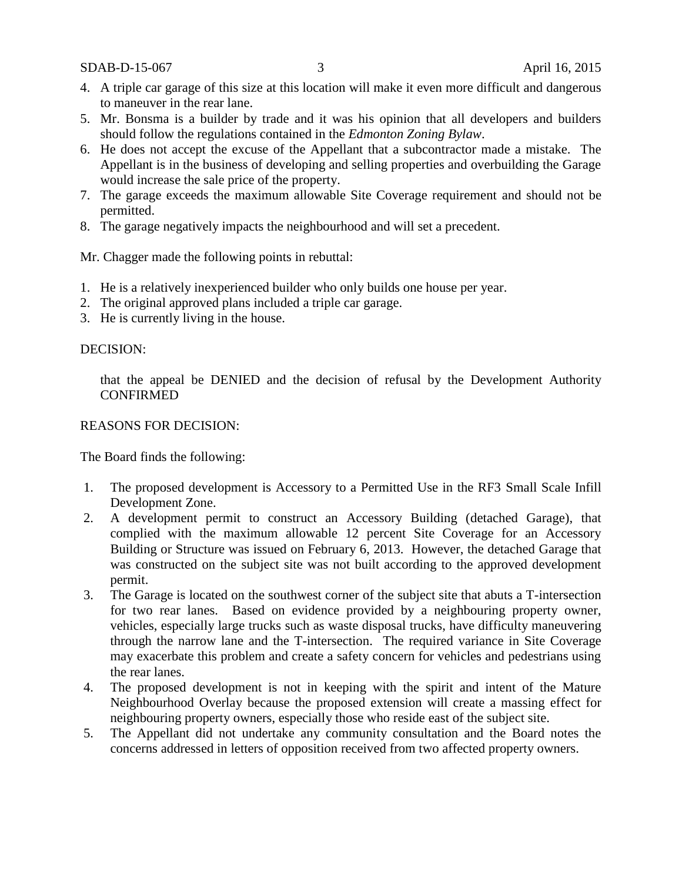SDAB-D-15-067 3 April 16, 2015

- 4. A triple car garage of this size at this location will make it even more difficult and dangerous to maneuver in the rear lane.
- 5. Mr. Bonsma is a builder by trade and it was his opinion that all developers and builders should follow the regulations contained in the *Edmonton Zoning Bylaw*.
- 6. He does not accept the excuse of the Appellant that a subcontractor made a mistake. The Appellant is in the business of developing and selling properties and overbuilding the Garage would increase the sale price of the property.
- 7. The garage exceeds the maximum allowable Site Coverage requirement and should not be permitted.
- 8. The garage negatively impacts the neighbourhood and will set a precedent.

Mr. Chagger made the following points in rebuttal:

- 1. He is a relatively inexperienced builder who only builds one house per year.
- 2. The original approved plans included a triple car garage.
- 3. He is currently living in the house.

# DECISION:

that the appeal be DENIED and the decision of refusal by the Development Authority **CONFIRMED** 

# REASONS FOR DECISION:

The Board finds the following:

- 1. The proposed development is Accessory to a Permitted Use in the RF3 Small Scale Infill Development Zone.
- 2. A development permit to construct an Accessory Building (detached Garage), that complied with the maximum allowable 12 percent Site Coverage for an Accessory Building or Structure was issued on February 6, 2013. However, the detached Garage that was constructed on the subject site was not built according to the approved development permit.
- 3. The Garage is located on the southwest corner of the subject site that abuts a T-intersection for two rear lanes. Based on evidence provided by a neighbouring property owner, vehicles, especially large trucks such as waste disposal trucks, have difficulty maneuvering through the narrow lane and the T-intersection. The required variance in Site Coverage may exacerbate this problem and create a safety concern for vehicles and pedestrians using the rear lanes.
- 4. The proposed development is not in keeping with the spirit and intent of the Mature Neighbourhood Overlay because the proposed extension will create a massing effect for neighbouring property owners, especially those who reside east of the subject site.
- 5. The Appellant did not undertake any community consultation and the Board notes the concerns addressed in letters of opposition received from two affected property owners.